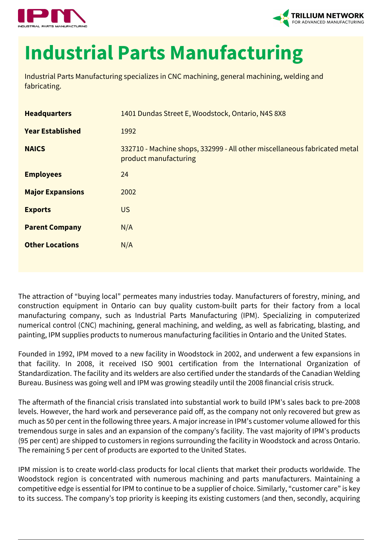



## **Industrial Parts Manufacturing**

Industrial Parts Manufacturing specializes in CNC machining, general machining, welding and fabricating.

| <b>Headquarters</b>     | 1401 Dundas Street E, Woodstock, Ontario, N4S 8X8                                                  |
|-------------------------|----------------------------------------------------------------------------------------------------|
| <b>Year Established</b> | 1992                                                                                               |
| <b>NAICS</b>            | 332710 - Machine shops, 332999 - All other miscellaneous fabricated metal<br>product manufacturing |
| <b>Employees</b>        | 24                                                                                                 |
| <b>Major Expansions</b> | 2002                                                                                               |
| <b>Exports</b>          | <b>US</b>                                                                                          |
| <b>Parent Company</b>   | N/A                                                                                                |
| <b>Other Locations</b>  | N/A                                                                                                |
|                         |                                                                                                    |

The attraction of "buying local" permeates many industries today. Manufacturers of forestry, mining, and construction equipment in Ontario can buy quality custom-built parts for their factory from a local manufacturing company, such as Industrial Parts Manufacturing (IPM). Specializing in computerized numerical control (CNC) machining, general machining, and welding, as well as fabricating, blasting, and painting, IPM supplies products to numerous manufacturing facilities in Ontario and the United States.

Founded in 1992, IPM moved to a new facility in Woodstock in 2002, and underwent a few expansions in that facility. In 2008, it received ISO 9001 certification from the International Organization of Standardization. The facility and its welders are also certified under the standards of the Canadian Welding Bureau. Business was going well and IPM was growing steadily until the 2008 financial crisis struck.

The aftermath of the financial crisis translated into substantial work to build IPM's sales back to pre-2008 levels. However, the hard work and perseverance paid off, as the company not only recovered but grew as much as 50 per cent in the following three years. A major increase in IPM's customer volume allowed for this tremendous surge in sales and an expansion of the company's facility. The vast majority of IPM's products (95 per cent) are shipped to customers in regions surrounding the facility in Woodstock and across Ontario. The remaining 5 per cent of products are exported to the United States.

IPM mission is to create world-class products for local clients that market their products worldwide. The Woodstock region is concentrated with numerous machining and parts manufacturers. Maintaining a competitive edge is essential for IPM to continue to be a supplier of choice. Similarly, "customer care" is key to its success. The company's top priority is keeping its existing customers (and then, secondly, acquiring